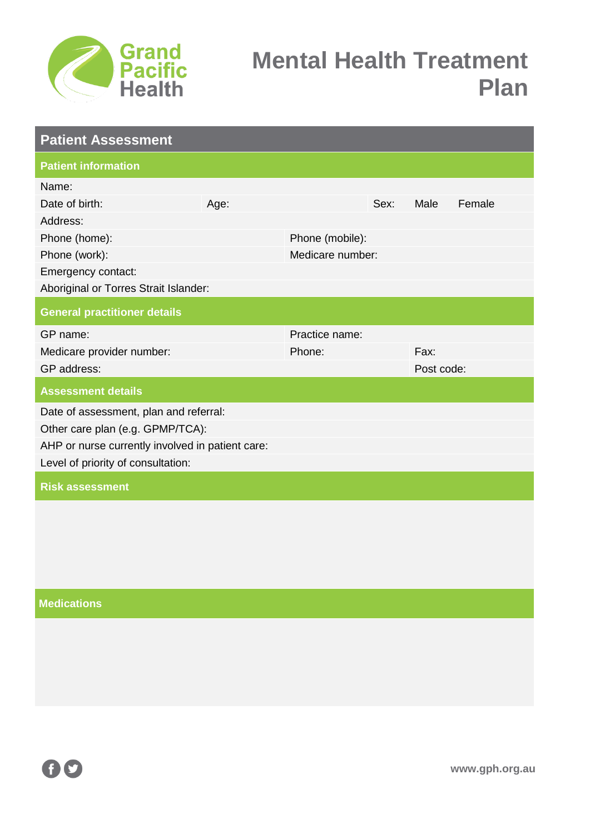

| <b>Patient Assessment</b>                        |      |                  |      |            |        |  |
|--------------------------------------------------|------|------------------|------|------------|--------|--|
| <b>Patient information</b>                       |      |                  |      |            |        |  |
| Name:                                            |      |                  |      |            |        |  |
| Date of birth:                                   | Age: |                  | Sex: | Male       | Female |  |
| Address:                                         |      |                  |      |            |        |  |
| Phone (home):                                    |      | Phone (mobile):  |      |            |        |  |
| Phone (work):                                    |      | Medicare number: |      |            |        |  |
| Emergency contact:                               |      |                  |      |            |        |  |
| Aboriginal or Torres Strait Islander:            |      |                  |      |            |        |  |
| <b>General practitioner details</b>              |      |                  |      |            |        |  |
| GP name:                                         |      | Practice name:   |      |            |        |  |
| Medicare provider number:                        |      | Phone:           |      | Fax:       |        |  |
| GP address:                                      |      |                  |      | Post code: |        |  |
| <b>Assessment details</b>                        |      |                  |      |            |        |  |
| Date of assessment, plan and referral:           |      |                  |      |            |        |  |
| Other care plan (e.g. GPMP/TCA):                 |      |                  |      |            |        |  |
| AHP or nurse currently involved in patient care: |      |                  |      |            |        |  |
| Level of priority of consultation:               |      |                  |      |            |        |  |
| <b>Risk assessment</b>                           |      |                  |      |            |        |  |
|                                                  |      |                  |      |            |        |  |

### **Medications**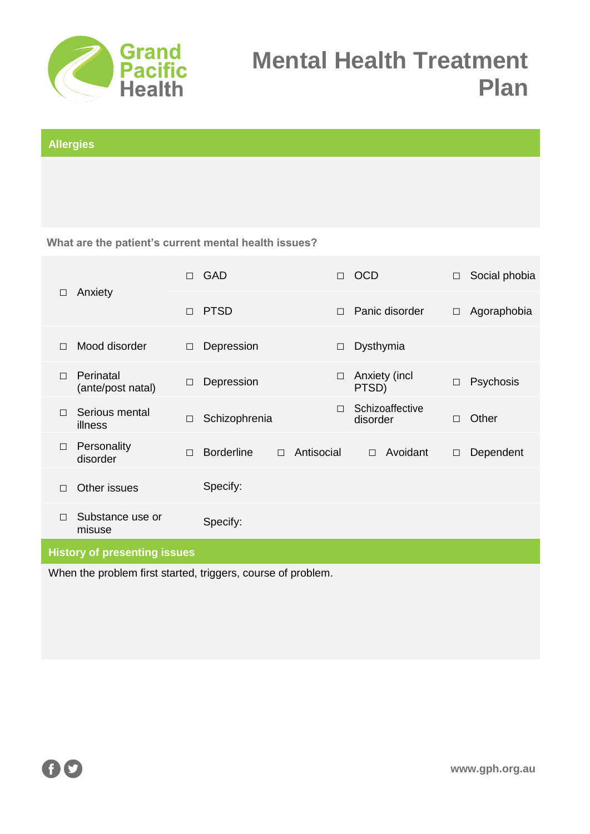

### **Allergies**

**What are the patient's current mental health issues?**

| Anxiety<br>□                        | $\Box$                         | GAD         |                   | П      | <b>OCD</b> |                        | □               | Social phobia |           |
|-------------------------------------|--------------------------------|-------------|-------------------|--------|------------|------------------------|-----------------|---------------|-----------|
|                                     | $\Box$                         | <b>PTSD</b> |                   | П      |            | Panic disorder         | $\Box$          | Agoraphobia   |           |
| $\Box$                              | Mood disorder                  | $\Box$      | Depression        |        | $\Box$     | Dysthymia              |                 |               |           |
| $\Box$                              | Perinatal<br>(ante/post natal) | $\Box$      | Depression        |        | □          | Anxiety (incl<br>PTSD) |                 | П             | Psychosis |
| $\Box$                              | Serious mental<br>illness      | $\Box$      | Schizophrenia     |        | П          | disorder               | Schizoaffective | П             | Other     |
| $\Box$                              | Personality<br>disorder        | $\Box$      | <b>Borderline</b> | $\Box$ | Antisocial | $\Box$                 | Avoidant        | $\Box$        | Dependent |
| П                                   | Other issues                   |             | Specify:          |        |            |                        |                 |               |           |
| $\Box$                              | Substance use or<br>misuse     |             | Specify:          |        |            |                        |                 |               |           |
| <b>History of presenting issues</b> |                                |             |                   |        |            |                        |                 |               |           |

When the problem first started, triggers, course of problem.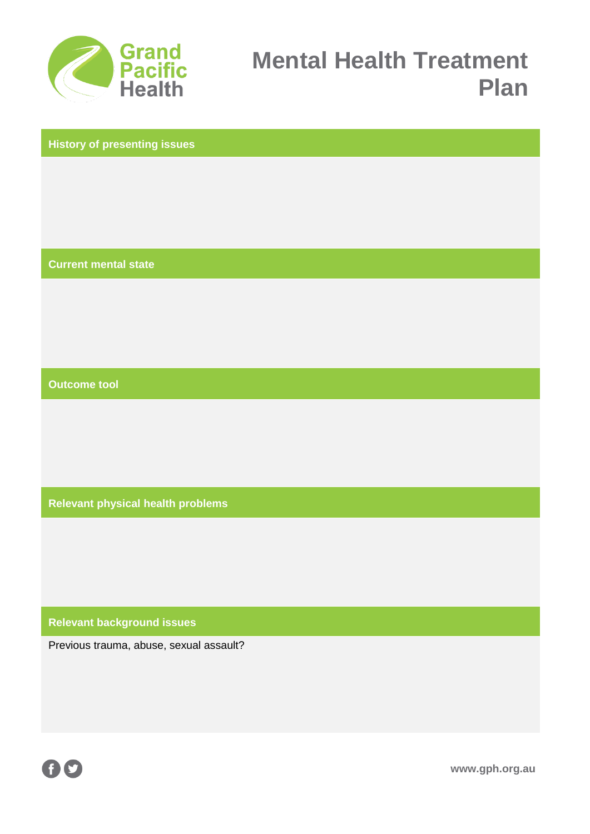

**History of presenting issues**

**Current mental state**

**Outcome tool**

**Relevant physical health problems**

**Relevant background issues**

Previous trauma, abuse, sexual assault?



**www.gph.org.au**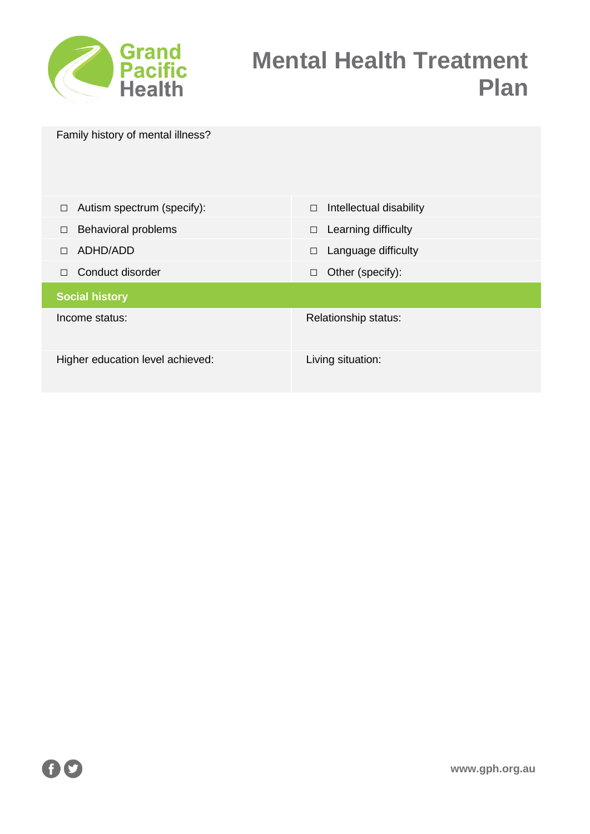

| Family history of mental illness? |                         |
|-----------------------------------|-------------------------|
| Autism spectrum (specify):        | Intellectual disability |
| $\Box$                            | $\Box$                  |
| <b>Behavioral problems</b>        | Learning difficulty     |
| $\Box$                            | $\Box$                  |
| ADHD/ADD                          | Language difficulty     |
| $\Box$                            | $\Box$                  |
| Conduct disorder                  | Other (specify):        |
| $\Box$                            | $\Box$                  |
| <b>Social history</b>             |                         |
| Income status:                    | Relationship status:    |
| Higher education level achieved:  | Living situation:       |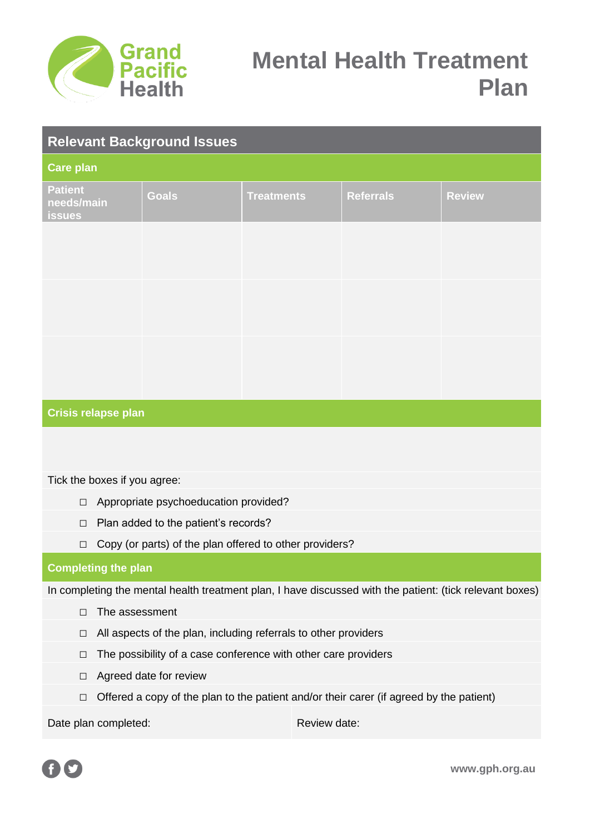

| <b>Relevant Background Issues</b>             |              |                   |                  |               |  |  |  |  |
|-----------------------------------------------|--------------|-------------------|------------------|---------------|--|--|--|--|
| <b>Care plan</b>                              |              |                   |                  |               |  |  |  |  |
| <b>Patient</b><br>needs/main<br><b>issues</b> | <b>Goals</b> | <b>Treatments</b> | <b>Referrals</b> | <b>Review</b> |  |  |  |  |
|                                               |              |                   |                  |               |  |  |  |  |
|                                               |              |                   |                  |               |  |  |  |  |
|                                               |              |                   |                  |               |  |  |  |  |
|                                               |              |                   |                  |               |  |  |  |  |
|                                               |              |                   |                  |               |  |  |  |  |
|                                               |              |                   |                  |               |  |  |  |  |
| Crisis relapse plan                           |              |                   |                  |               |  |  |  |  |

Tick the boxes if you agree:

- □ Appropriate psychoeducation provided?
- □ Plan added to the patient's records?
- □ Copy (or parts) of the plan offered to other providers?

### **Completing the plan**

In completing the mental health treatment plan, I have discussed with the patient: (tick relevant boxes)

- □ The assessment
- □ All aspects of the plan, including referrals to other providers
- □ The possibility of a case conference with other care providers
- □ Agreed date for review
- $\Box$  Offered a copy of the plan to the patient and/or their carer (if agreed by the patient)

Date plan completed: Review date:



**www.gph.org.au**